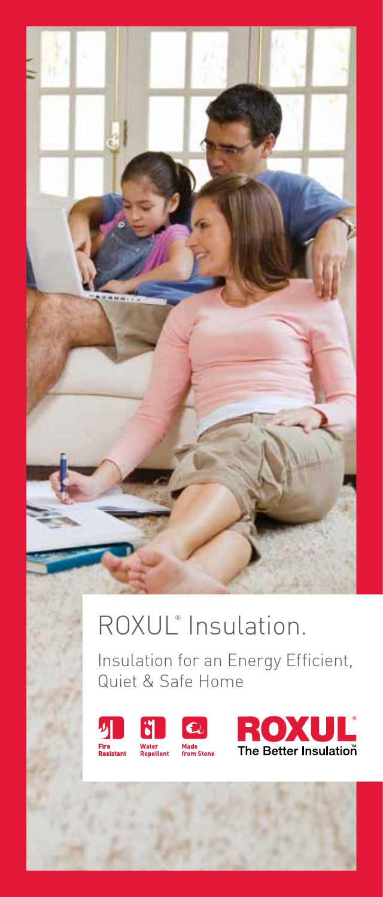

### ROXUL® Insulation.

Insulation for an Energy Efficient, Quiet & Safe Home



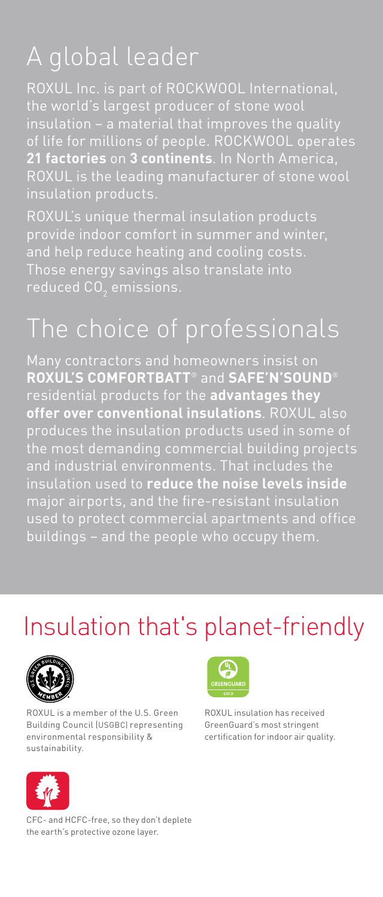# A global leader

**21 factories** on **3 continents**. In North America, insulation products.

Roxul's unique thermal insulation products provide indoor comfort in summer and winter, and help reduce heating and cooling costs.

# The choice of professionals

Many contractors and homeowners insist on **Roxul's ComfortBatt**® and **Safe'n'Sound**® residential products for the **advantages they offer over conventional insulations**. Roxul also produces the insulation products used in some of insulation used to **reduce the noise levels inside** buildings – and the people who occupy them.

### Insulation that's planet-friendly



Roxul is a member of the U.S. Green Building Council (USGBC) representing environmental responsibility & sustainability.



CFC- and HCFC-free, so they don't deplete the earth's protective ozone layer.



Roxul insulation has received GreenGuard's most stringent certification for indoor air quality.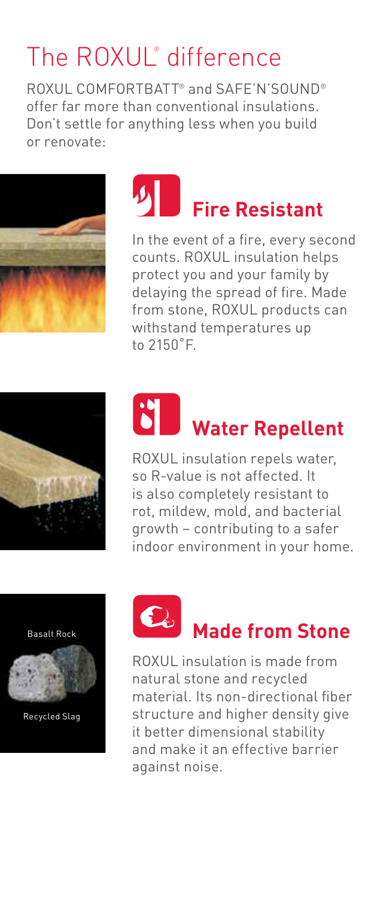# The ROXUL<sup>®</sup> difference

Roxul ComfortBatt® and Safe'n'Sound® offer far more than conventional insulations. Don't settle for anything less when you build or renovate:





In the event of a fire, every second counts. Roxul insulation helps protect you and your family by delaying the spread of fire. Made from stone, ROXUL products can withstand temperatures up to 2150˚F.



# **Water Repellent**

ROXUL insulation repels water, so R-value is not affected. It is also completely resistant to rot, mildew, mold, and bacterial growth – contributing to a safer indoor environment in your home.

Basalt Rock



Recycled Slag



**Made from Stone**

Roxul insulation is made from natural stone and recycled material. Its non-directional fiber structure and higher density give it better dimensional stability and make it an effective barrier against noise.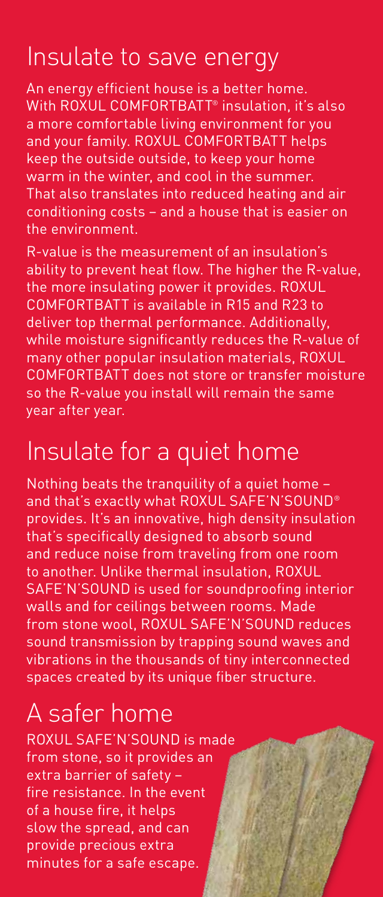## Insulate to save energy

An energy efficient house is a better home. With ROXUL COMFORTBATT<sup>®</sup> insulation, it's also a more comfortable living environment for you and your family. ROXUL COMFORTBATT helps keep the outside outside, to keep your home warm in the winter, and cool in the summer. That also translates into reduced heating and air conditioning costs – and a house that is easier on the environment.

R-value is the measurement of an insulation's ability to prevent heat flow. The higher the R-value, the more insulating power it provides. ROXUL ComfortBatt is available in R15 and R23 to deliver top thermal performance. Additionally, while moisture significantly reduces the R-value of many other popular insulation materials, Roxul COMFORTBATT does not store or transfer moisture so the R-value you install will remain the same year after year.

### Insulate for a quiet home

Nothing beats the tranquility of a quiet home – and that's exactly what ROXUL SAFE'N'SOUND® provides. It's an innovative, high density insulation that's specifically designed to absorb sound and reduce noise from traveling from one room to another. Unlike thermal insulation, Roxul SAFE'N'SOUND is used for soundproofing interior walls and for ceilings between rooms. Made from stone wool, ROXUL SAFE'N'SOUND reduces sound transmission by trapping sound waves and vibrations in the thousands of tiny interconnected spaces created by its unique fiber structure.

# A safer home

Roxul Safe'n'Sound is made from stone, so it provides an extra barrier of safety – fire resistance. In the event of a house fire, it helps slow the spread, and can provide precious extra minutes for a safe escape.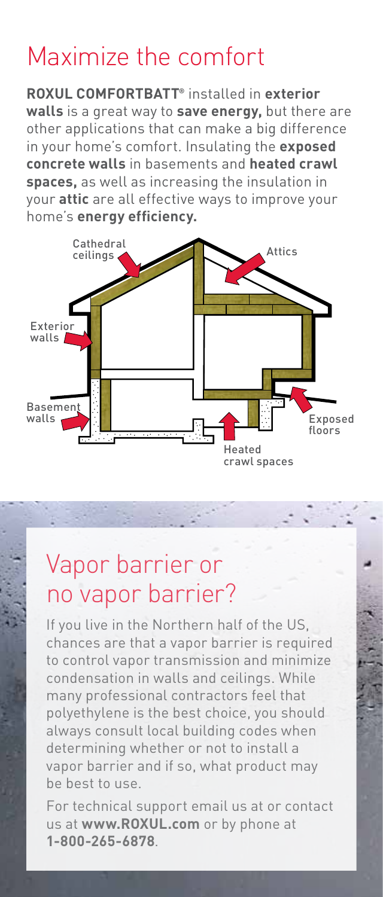## Maximize the comfort

**Roxul ComfortBatt®** installed in **exterior walls** is a great way to **save energy,** but there are other applications that can make a big difference in your home's comfort. Insulating the **exposed concrete walls** in basements and **heated crawl spaces,** as well as increasing the insulation in your **attic** are all effective ways to improve your home's **energy efficiency.**



### Vapor barrier or no vapor barrier?

If you live in the Northern half of the US, chances are that a vapor barrier is required to control vapor transmission and minimize condensation in walls and ceilings. While many professional contractors feel that polyethylene is the best choice, you should always consult local building codes when determining whether or not to install a vapor barrier and if so, what product may be best to use.

For technical support email us at or contact us at **www.ROXUL.com** or by phone at **1-800-265-6878**.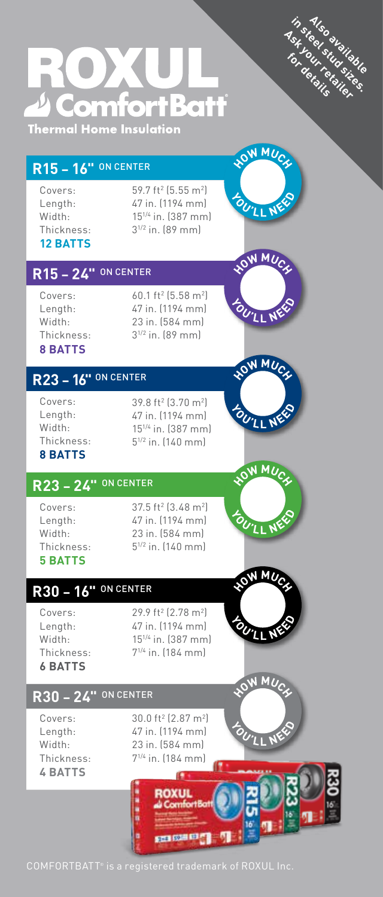



#### **R15 – 16"** on center

Covers: Length: Width: Thickness: **12 BATTS**

 $59.7$  ft<sup>2</sup> (5.55 m<sup>2</sup>) 47 in. (1194 mm) 151/4 in. (387 mm) 31/2 in. (89 mm)

#### **R15 – 24"** on center

Covers: Length: Width: Thickness: **8 BATTS**

60.1 ft2 (5.58 m2 ) 47 in. (1194 mm) 23 in. (584 mm) 31/2 in. (89 mm)



**LOW MUC** 

OU'LL NE

OU'LL N

WMUCK HO

**LOW MUC** 

OU'LL N

### **R23 – 16"** on center

Covers: Length: Width: Thickness: **8 BATTS**

39.8 ft2 (3.70 m2 ) 47 in. (1194 mm) 151/4 in. (387 mm) 51/2 in. (140 mm)

### **R23 – 24"** on center

Covers: Length: Width: Thickness: **5 BATTS**

37.5 ft² (3.48 m²) 47 in. (1194 mm) 23 in. (584 mm) 51/2 in. (140 mm)

### **R30 – 16"** on center

Covers: Length: Width: Thickness: **6 BATTS**

29.9 ft<sup>2</sup> (2.78 m<sup>2</sup>) 47 in. (1194 mm) 151/4 in. (387 mm) 71/4 in. (184 mm)



### **R30 – 24"** on center

Covers: Length: Width: Thickness: **4 BATTS**

30.0 ft2 (2.87 m2 ) 47 in. (1194 mm) 23 in. (584 mm) 71/4 in. (184 mm)

> Œ **ROXUL** Comf

経験の場所



COMFORTBATT® is a registered trademark of ROXUL Inc.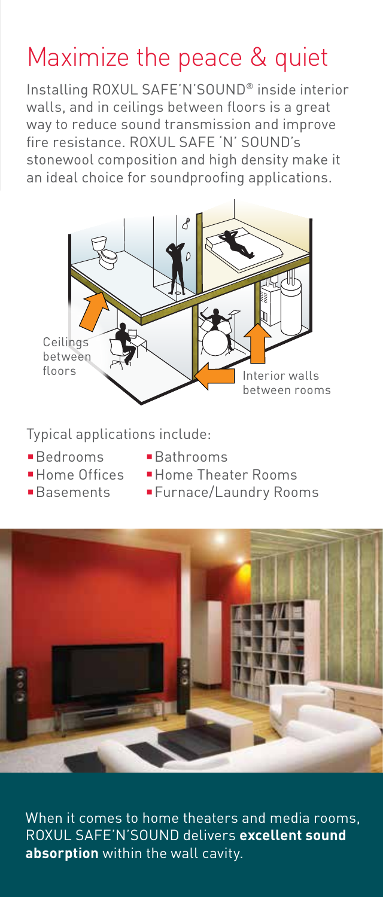# Maximize the peace & quiet

Installing ROXUL SAFE'N'SOUND® inside interior walls, and in ceilings between floors is a great way to reduce sound transmission and improve fire resistance. ROXUL SAFE 'N' SOUND's stonewool composition and high density make it an ideal choice for soundproofing applications.



Typical applications include:

- 
- Bedrooms **Bathrooms**
- 
- 
- 
- **Home Offices Home Theater Rooms**
- Basements Furnace/Laundry Rooms



When it comes to home theaters and media rooms, Roxul Safe'n'Sound delivers **excellent sound absorption** within the wall cavity.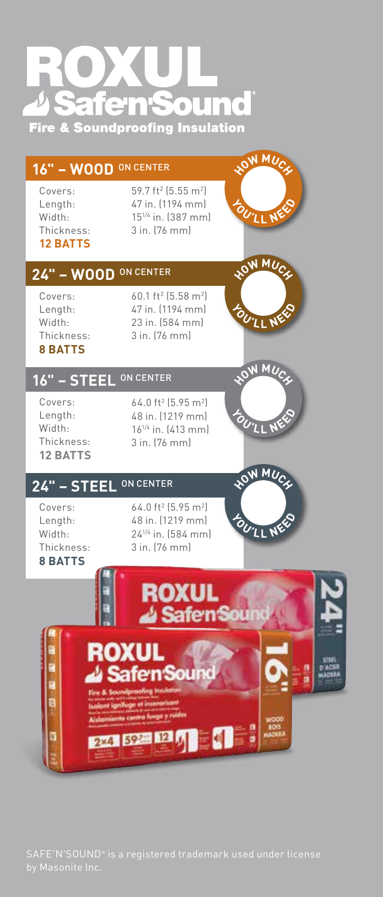# $\blacksquare$ **Fire & Soundproofing Insulation**

#### **16" – WOOD** on center

Covers: Length: Width: Thickness: **12 BATTS**

#### $59.7$  ft $^{2}$  (5.55 m $^{2}$ ) 47 in. (1194 mm) 151/4 in. (387 mm) 3 in. (76 mm)



#### **24" – WOOD** on center

Covers: Length: Width: Thickness: **8 BATTS**

60.1 ft2 (5.58 m2 ) 47 in. (1194 mm) 23 in. (584 mm) 3 in. (76 mm)



OW MUC

OU'LL N

**LOW MUC** 

OU'LL NE

#### **16" – steel** on center



64.0 ft2 (5.95 m2 ) 48 in. (1219 mm) 161/4 in. (413 mm) 3 in. (76 mm)

### **24" – steel** on center

Covers: Length: Width: Thickness: **8 BATTS**

64.0 ft2 (5.95 m2 ) 48 in. (1219 mm) 241/4 in. (584 mm) 3 in. (76 mm)